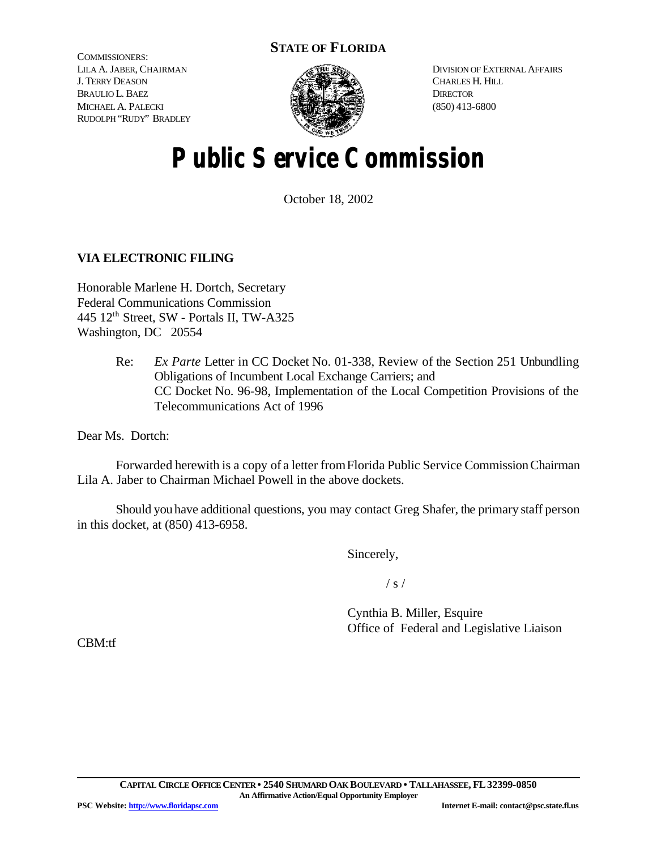## **STATE OF FLORIDA**

COMMISSIONERS: LILA A. JABER, CHAIRMAN J. TERRY DEASON BRAULIO L. BAEZ MICHAEL A. PALECKI RUDOLPH "RUDY" BRADLEY



DIVISION OF EXTERNAL AFFAIRS CHARLES H. HILL **DIRECTOR** (850) 413-6800

# **Public Service Commission**

October 18, 2002

### **VIA ELECTRONIC FILING**

Honorable Marlene H. Dortch, Secretary Federal Communications Commission 445 12th Street, SW - Portals II, TW-A325 Washington, DC 20554

> Re: *Ex Parte* Letter in CC Docket No. 01-338, Review of the Section 251 Unbundling Obligations of Incumbent Local Exchange Carriers; and CC Docket No. 96-98, Implementation of the Local Competition Provisions of the Telecommunications Act of 1996

Dear Ms. Dortch:

Forwarded herewith is a copy of a letter fromFlorida Public Service CommissionChairman Lila A. Jaber to Chairman Michael Powell in the above dockets.

Should you have additional questions, you may contact Greg Shafer, the primary staff person in this docket, at (850) 413-6958.

Sincerely,

 $/ s /$ 

Cynthia B. Miller, Esquire Office of Federal and Legislative Liaison

CBM:tf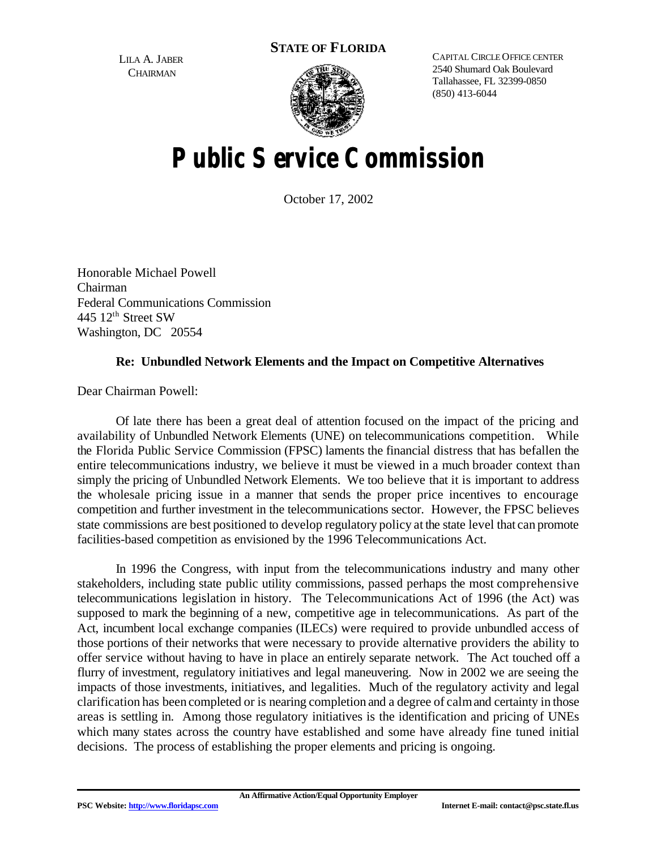**STATE OF FLORIDA**

LILA A. JABER **CHAIRMAN** 



CAPITAL CIRCLE OFFICE CENTER 2540 Shumard Oak Boulevard Tallahassee, FL 32399-0850 (850) 413-6044

# **Public Service Commission**

October 17, 2002

Honorable Michael Powell Chairman Federal Communications Commission 445 12<sup>th</sup> Street SW Washington, DC 20554

### **Re: Unbundled Network Elements and the Impact on Competitive Alternatives**

Dear Chairman Powell:

Of late there has been a great deal of attention focused on the impact of the pricing and availability of Unbundled Network Elements (UNE) on telecommunications competition. While the Florida Public Service Commission (FPSC) laments the financial distress that has befallen the entire telecommunications industry, we believe it must be viewed in a much broader context than simply the pricing of Unbundled Network Elements. We too believe that it is important to address the wholesale pricing issue in a manner that sends the proper price incentives to encourage competition and further investment in the telecommunications sector. However, the FPSC believes state commissions are best positioned to develop regulatory policy at the state level that can promote facilities-based competition as envisioned by the 1996 Telecommunications Act.

In 1996 the Congress, with input from the telecommunications industry and many other stakeholders, including state public utility commissions, passed perhaps the most comprehensive telecommunications legislation in history. The Telecommunications Act of 1996 (the Act) was supposed to mark the beginning of a new, competitive age in telecommunications. As part of the Act, incumbent local exchange companies (ILECs) were required to provide unbundled access of those portions of their networks that were necessary to provide alternative providers the ability to offer service without having to have in place an entirely separate network. The Act touched off a flurry of investment, regulatory initiatives and legal maneuvering. Now in 2002 we are seeing the impacts of those investments, initiatives, and legalities. Much of the regulatory activity and legal clarification has been completed or is nearing completion and a degree of calmand certainty in those areas is settling in. Among those regulatory initiatives is the identification and pricing of UNEs which many states across the country have established and some have already fine tuned initial decisions. The process of establishing the proper elements and pricing is ongoing.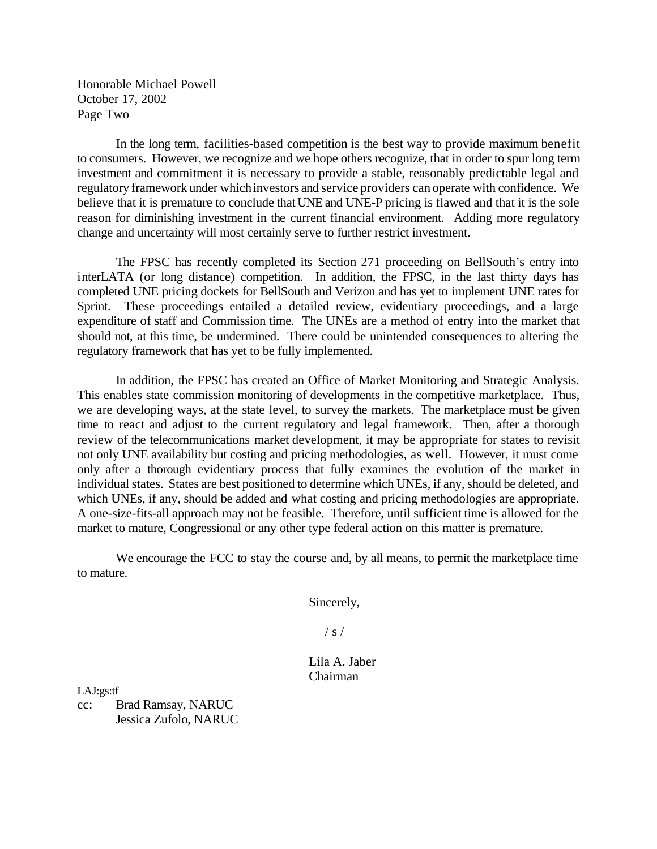Honorable Michael Powell October 17, 2002 Page Two

In the long term, facilities-based competition is the best way to provide maximum benefit to consumers. However, we recognize and we hope others recognize, that in order to spur long term investment and commitment it is necessary to provide a stable, reasonably predictable legal and regulatory framework under whichinvestors and service providers can operate with confidence. We believe that it is premature to conclude that UNE and UNE-P pricing is flawed and that it is the sole reason for diminishing investment in the current financial environment. Adding more regulatory change and uncertainty will most certainly serve to further restrict investment.

The FPSC has recently completed its Section 271 proceeding on BellSouth's entry into interLATA (or long distance) competition. In addition, the FPSC, in the last thirty days has completed UNE pricing dockets for BellSouth and Verizon and has yet to implement UNE rates for Sprint. These proceedings entailed a detailed review, evidentiary proceedings, and a large expenditure of staff and Commission time. The UNEs are a method of entry into the market that should not, at this time, be undermined. There could be unintended consequences to altering the regulatory framework that has yet to be fully implemented.

In addition, the FPSC has created an Office of Market Monitoring and Strategic Analysis. This enables state commission monitoring of developments in the competitive marketplace. Thus, we are developing ways, at the state level, to survey the markets. The marketplace must be given time to react and adjust to the current regulatory and legal framework. Then, after a thorough review of the telecommunications market development, it may be appropriate for states to revisit not only UNE availability but costing and pricing methodologies, as well. However, it must come only after a thorough evidentiary process that fully examines the evolution of the market in individual states. States are best positioned to determine which UNEs, if any, should be deleted, and which UNEs, if any, should be added and what costing and pricing methodologies are appropriate. A one-size-fits-all approach may not be feasible. Therefore, until sufficient time is allowed for the market to mature, Congressional or any other type federal action on this matter is premature.

We encourage the FCC to stay the course and, by all means, to permit the marketplace time to mature.

Sincerely,

 $/ s /$ 

Lila A. Jaber Chairman

LAJ:gs:tf cc: Brad Ramsay, NARUC Jessica Zufolo, NARUC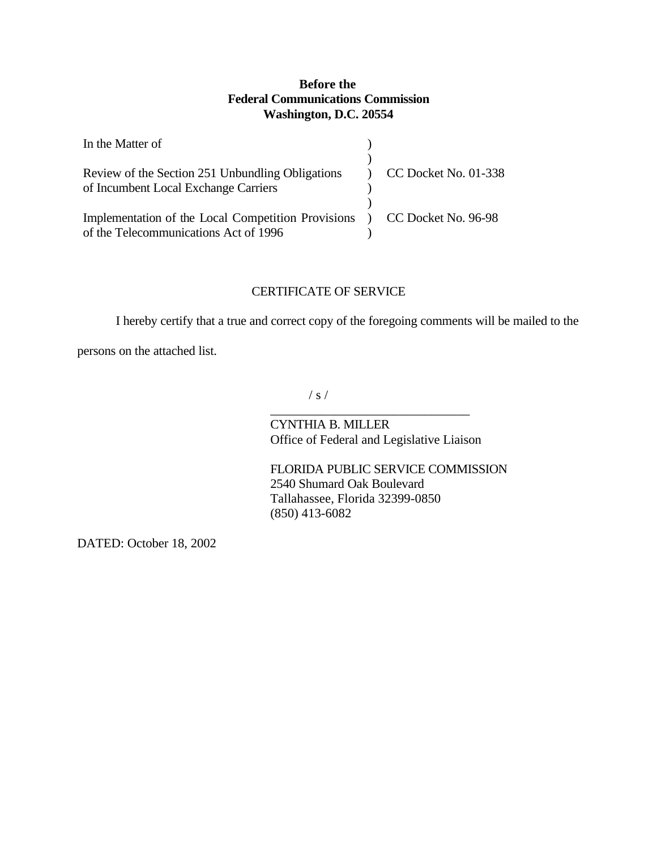#### **Before the Federal Communications Commission Washington, D.C. 20554**

| In the Matter of                                                                                                  |                      |
|-------------------------------------------------------------------------------------------------------------------|----------------------|
| Review of the Section 251 Unbundling Obligations<br>of Incumbent Local Exchange Carriers                          | CC Docket No. 01-338 |
| Implementation of the Local Competition Provisions ) CC Docket No. 96-98<br>of the Telecommunications Act of 1996 |                      |

#### CERTIFICATE OF SERVICE

I hereby certify that a true and correct copy of the foregoing comments will be mailed to the

persons on the attached list.

 $/ s /$ 

CYNTHIA B. MILLER Office of Federal and Legislative Liaison

\_\_\_\_\_\_\_\_\_\_\_\_\_\_\_\_\_\_\_\_\_\_\_\_\_\_\_\_\_\_\_

FLORIDA PUBLIC SERVICE COMMISSION 2540 Shumard Oak Boulevard Tallahassee, Florida 32399-0850 (850) 413-6082

DATED: October 18, 2002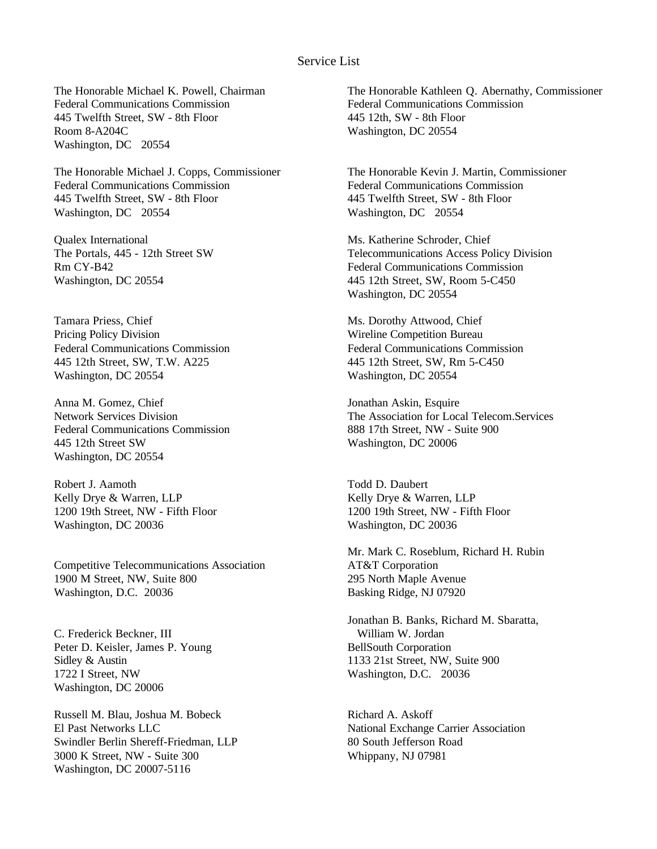#### Service List

The Honorable Michael K. Powell, Chairman Federal Communications Commission 445 Twelfth Street, SW - 8th Floor Room 8-A204C Washington, DC 20554

The Honorable Michael J. Copps, Commissioner Federal Communications Commission 445 Twelfth Street, SW - 8th Floor Washington, DC 20554

Qualex International The Portals, 445 - 12th Street SW Rm CY-B42 Washington, DC 20554

Tamara Priess, Chief Pricing Policy Division Federal Communications Commission 445 12th Street, SW, T.W. A225 Washington, DC 20554

Anna M. Gomez, Chief Network Services Division Federal Communications Commission 445 12th Street SW Washington, DC 20554

Robert J. Aamoth Kelly Drye & Warren, LLP 1200 19th Street, NW - Fifth Floor Washington, DC 20036

Competitive Telecommunications Association 1900 M Street, NW, Suite 800 Washington, D.C. 20036

C. Frederick Beckner, III Peter D. Keisler, James P. Young Sidley & Austin 1722 I Street, NW Washington, DC 20006

Russell M. Blau, Joshua M. Bobeck El Past Networks LLC Swindler Berlin Shereff-Friedman, LLP 3000 K Street, NW - Suite 300 Washington, DC 20007-5116

The Honorable Kathleen Q. Abernathy, Commissioner Federal Communications Commission 445 12th, SW - 8th Floor Washington, DC 20554

The Honorable Kevin J. Martin, Commissioner Federal Communications Commission 445 Twelfth Street, SW - 8th Floor Washington, DC 20554

Ms. Katherine Schroder, Chief Telecommunications Access Policy Division Federal Communications Commission 445 12th Street, SW, Room 5-C450 Washington, DC 20554

Ms. Dorothy Attwood, Chief Wireline Competition Bureau Federal Communications Commission 445 12th Street, SW, Rm 5-C450 Washington, DC 20554

Jonathan Askin, Esquire The Association for Local Telecom.Services 888 17th Street, NW - Suite 900 Washington, DC 20006

Todd D. Daubert Kelly Drye & Warren, LLP 1200 19th Street, NW - Fifth Floor Washington, DC 20036

Mr. Mark C. Roseblum, Richard H. Rubin AT&T Corporation 295 North Maple Avenue Basking Ridge, NJ 07920

Jonathan B. Banks, Richard M. Sbaratta, William W. Jordan BellSouth Corporation 1133 21st Street, NW, Suite 900 Washington, D.C. 20036

Richard A. Askoff National Exchange Carrier Association 80 South Jefferson Road Whippany, NJ 07981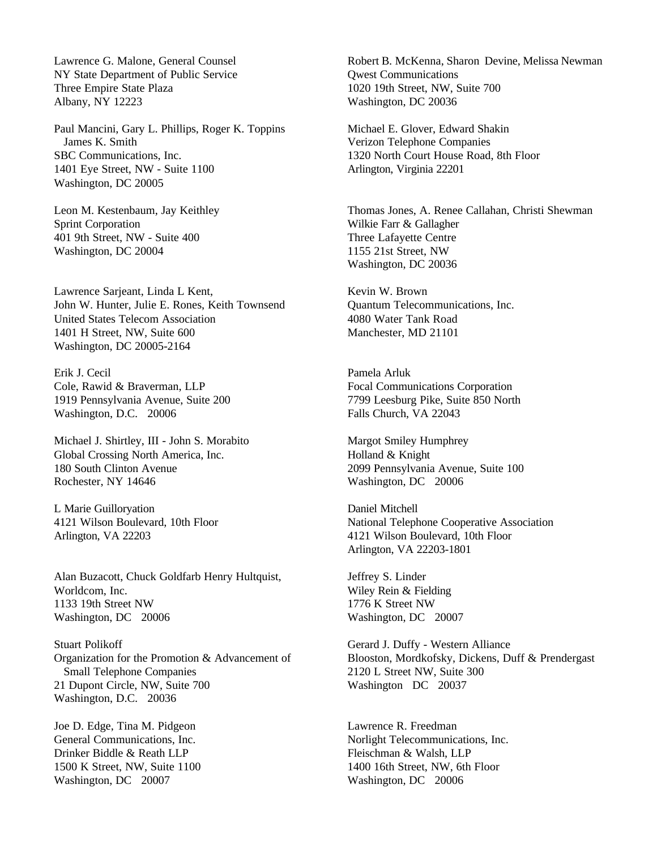Lawrence G. Malone, General Counsel NY State Department of Public Service Three Empire State Plaza Albany, NY 12223

Paul Mancini, Gary L. Phillips, Roger K. Toppins James K. Smith SBC Communications, Inc. 1401 Eye Street, NW - Suite 1100 Washington, DC 20005

Leon M. Kestenbaum, Jay Keithley Sprint Corporation 401 9th Street, NW - Suite 400 Washington, DC 20004

Lawrence Sarjeant, Linda L Kent, John W. Hunter, Julie E. Rones, Keith Townsend United States Telecom Association 1401 H Street, NW, Suite 600 Washington, DC 20005-2164

Erik J. Cecil Cole, Rawid & Braverman, LLP 1919 Pennsylvania Avenue, Suite 200 Washington, D.C. 20006

Michael J. Shirtley, III - John S. Morabito Global Crossing North America, Inc. 180 South Clinton Avenue Rochester, NY 14646

L Marie Guilloryation 4121 Wilson Boulevard, 10th Floor Arlington, VA 22203

Alan Buzacott, Chuck Goldfarb Henry Hultquist, Worldcom, Inc. 1133 19th Street NW Washington, DC 20006

Stuart Polikoff Organization for the Promotion & Advancement of Small Telephone Companies 21 Dupont Circle, NW, Suite 700 Washington, D.C. 20036

Joe D. Edge, Tina M. Pidgeon General Communications, Inc. Drinker Biddle & Reath LLP 1500 K Street, NW, Suite 1100 Washington, DC 20007

Robert B. McKenna, Sharon Devine, Melissa Newman Qwest Communications 1020 19th Street, NW, Suite 700 Washington, DC 20036

Michael E. Glover, Edward Shakin Verizon Telephone Companies 1320 North Court House Road, 8th Floor Arlington, Virginia 22201

Thomas Jones, A. Renee Callahan, Christi Shewman Wilkie Farr & Gallagher Three Lafayette Centre 1155 21st Street, NW Washington, DC 20036

Kevin W. Brown Quantum Telecommunications, Inc. 4080 Water Tank Road Manchester, MD 21101

Pamela Arluk Focal Communications Corporation 7799 Leesburg Pike, Suite 850 North Falls Church, VA 22043

Margot Smiley Humphrey Holland & Knight 2099 Pennsylvania Avenue, Suite 100 Washington, DC 20006

Daniel Mitchell National Telephone Cooperative Association 4121 Wilson Boulevard, 10th Floor Arlington, VA 22203-1801

Jeffrey S. Linder Wiley Rein & Fielding 1776 K Street NW Washington, DC 20007

Gerard J. Duffy - Western Alliance Blooston, Mordkofsky, Dickens, Duff & Prendergast 2120 L Street NW, Suite 300 Washington DC 20037

Lawrence R. Freedman Norlight Telecommunications, Inc. Fleischman & Walsh, LLP 1400 16th Street, NW, 6th Floor Washington, DC 20006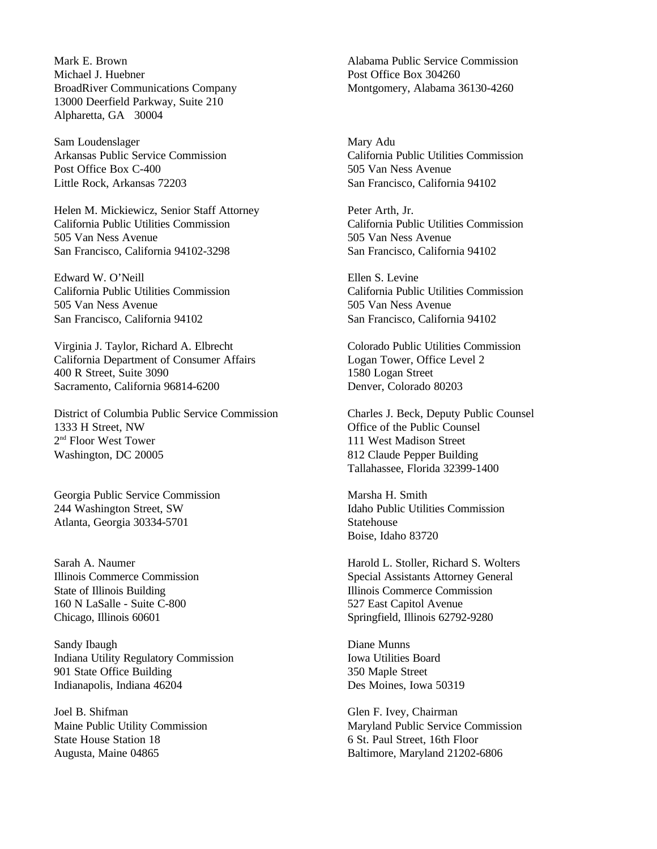Mark E. Brown Michael J. Huebner BroadRiver Communications Company 13000 Deerfield Parkway, Suite 210 Alpharetta, GA 30004

Sam Loudenslager Arkansas Public Service Commission Post Office Box C-400 Little Rock, Arkansas 72203

Helen M. Mickiewicz, Senior Staff Attorney California Public Utilities Commission 505 Van Ness Avenue San Francisco, California 94102-3298

Edward W. O'Neill California Public Utilities Commission 505 Van Ness Avenue San Francisco, California 94102

Virginia J. Taylor, Richard A. Elbrecht California Department of Consumer Affairs 400 R Street, Suite 3090 Sacramento, California 96814-6200

District of Columbia Public Service Commission 1333 H Street, NW 2<sup>nd</sup> Floor West Tower Washington, DC 20005

Georgia Public Service Commission 244 Washington Street, SW Atlanta, Georgia 30334-5701

Sarah A. Naumer Illinois Commerce Commission State of Illinois Building 160 N LaSalle - Suite C-800 Chicago, Illinois 60601

Sandy Ibaugh Indiana Utility Regulatory Commission 901 State Office Building Indianapolis, Indiana 46204

Joel B. Shifman Maine Public Utility Commission State House Station 18 Augusta, Maine 04865

Alabama Public Service Commission Post Office Box 304260 Montgomery, Alabama 36130-4260

Mary Adu California Public Utilities Commission 505 Van Ness Avenue San Francisco, California 94102

Peter Arth, Jr. California Public Utilities Commission 505 Van Ness Avenue San Francisco, California 94102

Ellen S. Levine California Public Utilities Commission 505 Van Ness Avenue San Francisco, California 94102

Colorado Public Utilities Commission Logan Tower, Office Level 2 1580 Logan Street Denver, Colorado 80203

Charles J. Beck, Deputy Public Counsel Office of the Public Counsel 111 West Madison Street 812 Claude Pepper Building Tallahassee, Florida 32399-1400

Marsha H. Smith Idaho Public Utilities Commission **Statehouse** Boise, Idaho 83720

Harold L. Stoller, Richard S. Wolters Special Assistants Attorney General Illinois Commerce Commission 527 East Capitol Avenue Springfield, Illinois 62792-9280

Diane Munns Iowa Utilities Board 350 Maple Street Des Moines, Iowa 50319

Glen F. Ivey, Chairman Maryland Public Service Commission 6 St. Paul Street, 16th Floor Baltimore, Maryland 21202-6806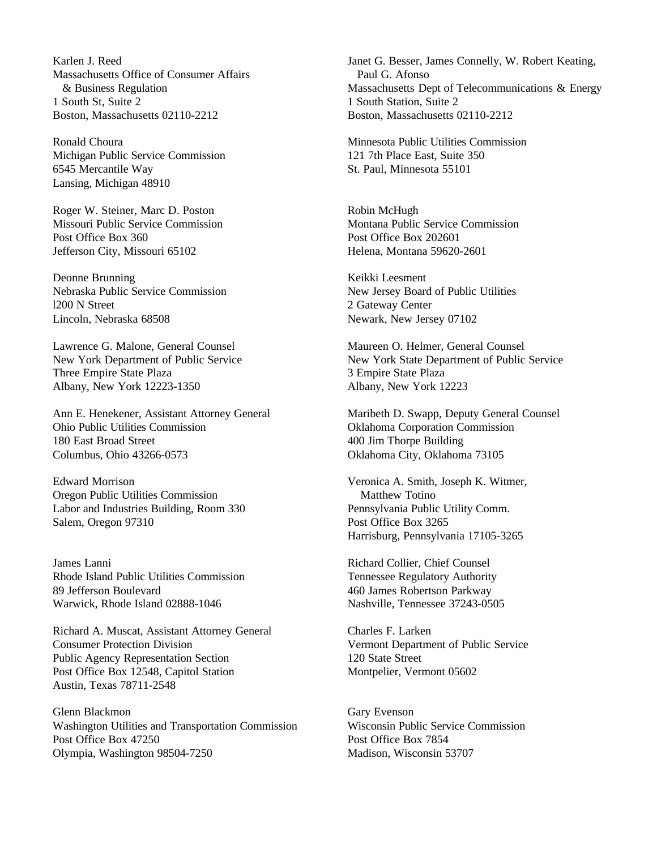Karlen J. Reed Massachusetts Office of Consumer Affairs & Business Regulation 1 South St, Suite 2 Boston, Massachusetts 02110-2212

Ronald Choura Michigan Public Service Commission 6545 Mercantile Way Lansing, Michigan 48910

Roger W. Steiner, Marc D. Poston Missouri Public Service Commission Post Office Box 360 Jefferson City, Missouri 65102

Deonne Brunning Nebraska Public Service Commission l200 N Street Lincoln, Nebraska 68508

Lawrence G. Malone, General Counsel New York Department of Public Service Three Empire State Plaza Albany, New York 12223-1350

Ann E. Henekener, Assistant Attorney General Ohio Public Utilities Commission 180 East Broad Street Columbus, Ohio 43266-0573

Edward Morrison Oregon Public Utilities Commission Labor and Industries Building, Room 330 Salem, Oregon 97310

James Lanni Rhode Island Public Utilities Commission 89 Jefferson Boulevard Warwick, Rhode Island 02888-1046

Richard A. Muscat, Assistant Attorney General Consumer Protection Division Public Agency Representation Section Post Office Box 12548, Capitol Station Austin, Texas 78711-2548

Glenn Blackmon Washington Utilities and Transportation Commission Post Office Box 47250 Olympia, Washington 98504-7250

Janet G. Besser, James Connelly, W. Robert Keating, Paul G. Afonso Massachusetts Dept of Telecommunications & Energy 1 South Station, Suite 2 Boston, Massachusetts 02110-2212

Minnesota Public Utilities Commission 121 7th Place East, Suite 350 St. Paul, Minnesota 55101

Robin McHugh Montana Public Service Commission Post Office Box 202601 Helena, Montana 59620-2601

Keikki Leesment New Jersey Board of Public Utilities 2 Gateway Center Newark, New Jersey 07102

Maureen O. Helmer, General Counsel New York State Department of Public Service 3 Empire State Plaza Albany, New York 12223

Maribeth D. Swapp, Deputy General Counsel Oklahoma Corporation Commission 400 Jim Thorpe Building Oklahoma City, Oklahoma 73105

Veronica A. Smith, Joseph K. Witmer, Matthew Totino Pennsylvania Public Utility Comm. Post Office Box 3265 Harrisburg, Pennsylvania 17105-3265

Richard Collier, Chief Counsel Tennessee Regulatory Authority 460 James Robertson Parkway Nashville, Tennessee 37243-0505

Charles F. Larken Vermont Department of Public Service 120 State Street Montpelier, Vermont 05602

Gary Evenson Wisconsin Public Service Commission Post Office Box 7854 Madison, Wisconsin 53707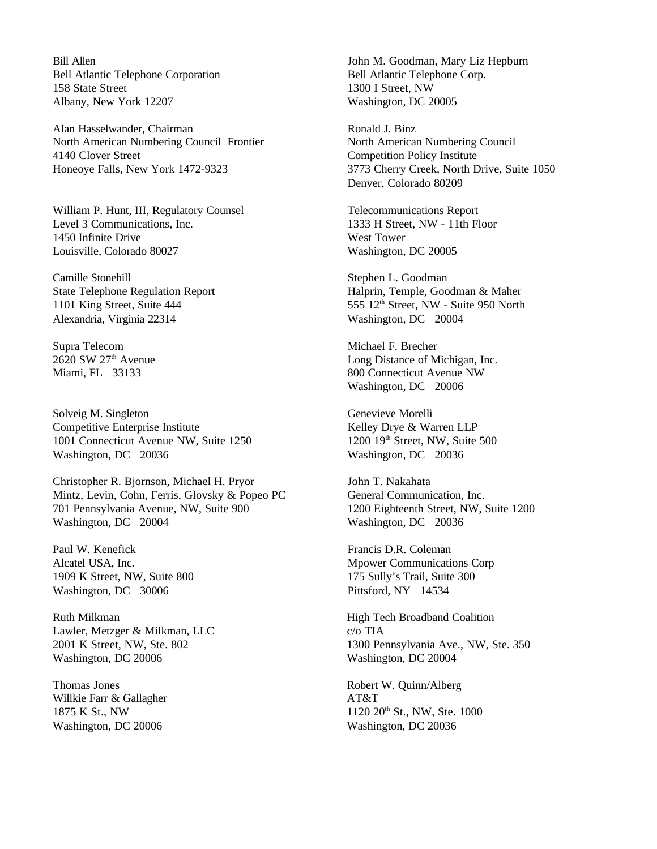Bill Allen Bell Atlantic Telephone Corporation 158 State Street Albany, New York 12207

Alan Hasselwander, Chairman North American Numbering Council Frontier 4140 Clover Street Honeoye Falls, New York 1472-9323

William P. Hunt, III, Regulatory Counsel Level 3 Communications, Inc. 1450 Infinite Drive Louisville, Colorado 80027

Camille Stonehill State Telephone Regulation Report 1101 King Street, Suite 444 Alexandria, Virginia 22314

Supra Telecom  $2620$  SW  $27<sup>th</sup>$  Avenue Miami, FL 33133

Solveig M. Singleton Competitive Enterprise Institute 1001 Connecticut Avenue NW, Suite 1250 Washington, DC 20036

Christopher R. Bjornson, Michael H. Pryor Mintz, Levin, Cohn, Ferris, Glovsky & Popeo PC 701 Pennsylvania Avenue, NW, Suite 900 Washington, DC 20004

Paul W. Kenefick Alcatel USA, Inc. 1909 K Street, NW, Suite 800 Washington, DC 30006

Ruth Milkman Lawler, Metzger & Milkman, LLC 2001 K Street, NW, Ste. 802 Washington, DC 20006

Thomas Jones Willkie Farr & Gallagher 1875 K St., NW Washington, DC 20006

John M. Goodman, Mary Liz Hepburn Bell Atlantic Telephone Corp. 1300 I Street, NW Washington, DC 20005

Ronald J. Binz North American Numbering Council Competition Policy Institute 3773 Cherry Creek, North Drive, Suite 1050 Denver, Colorado 80209

Telecommunications Report 1333 H Street, NW - 11th Floor West Tower Washington, DC 20005

Stephen L. Goodman Halprin, Temple, Goodman & Maher 555 12<sup>th</sup> Street, NW - Suite 950 North Washington, DC 20004

Michael F. Brecher Long Distance of Michigan, Inc. 800 Connecticut Avenue NW Washington, DC 20006

Genevieve Morelli Kelley Drye & Warren LLP 1200 19<sup>th</sup> Street, NW, Suite 500 Washington, DC 20036

John T. Nakahata General Communication, Inc. 1200 Eighteenth Street, NW, Suite 1200 Washington, DC 20036

Francis D.R. Coleman Mpower Communications Corp 175 Sully's Trail, Suite 300 Pittsford, NY 14534

High Tech Broadband Coalition c/o TIA 1300 Pennsylvania Ave., NW, Ste. 350 Washington, DC 20004

Robert W. Quinn/Alberg AT&T 1120 20<sup>th</sup> St., NW, Ste. 1000 Washington, DC 20036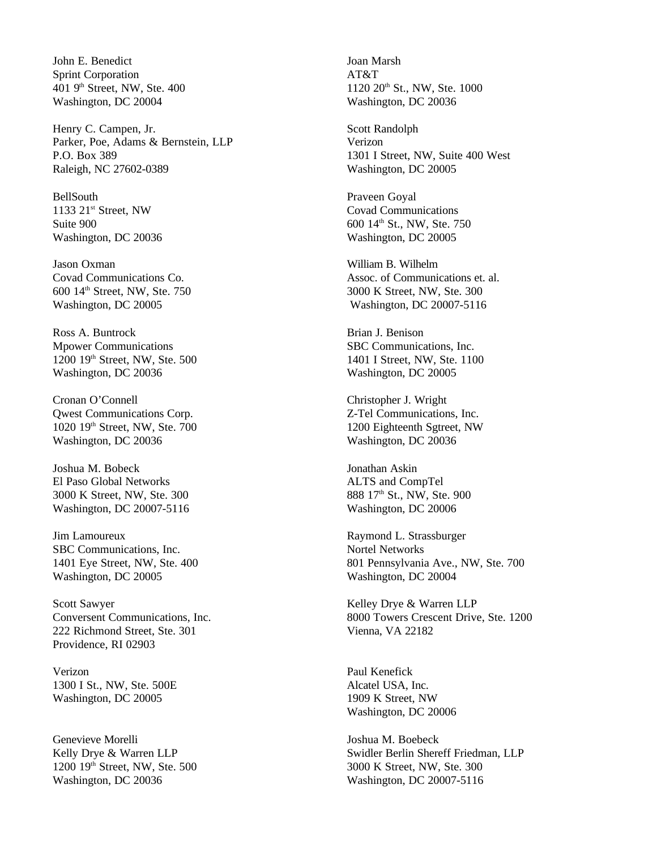John E. Benedict Sprint Corporation 401 9th Street, NW, Ste. 400 Washington, DC 20004

Henry C. Campen, Jr. Parker, Poe, Adams & Bernstein, LLP P.O. Box 389 Raleigh, NC 27602-0389

BellSouth 1133 21st Street, NW Suite 900 Washington, DC 20036

Jason Oxman Covad Communications Co. 600 14th Street, NW, Ste. 750 Washington, DC 20005

Ross A. Buntrock Mpower Communications 1200 19th Street, NW, Ste. 500 Washington, DC 20036

Cronan O'Connell Qwest Communications Corp. 1020 19th Street, NW, Ste. 700 Washington, DC 20036

Joshua M. Bobeck El Paso Global Networks 3000 K Street, NW, Ste. 300 Washington, DC 20007-5116

Jim Lamoureux SBC Communications, Inc. 1401 Eye Street, NW, Ste. 400 Washington, DC 20005

Scott Sawyer Conversent Communications, Inc. 222 Richmond Street, Ste. 301 Providence, RI 02903

Verizon 1300 I St., NW, Ste. 500E Washington, DC 20005

Genevieve Morelli Kelly Drye & Warren LLP 1200 19th Street, NW, Ste. 500 Washington, DC 20036

Joan Marsh AT&T 1120 20<sup>th</sup> St., NW, Ste. 1000 Washington, DC 20036

Scott Randolph Verizon 1301 I Street, NW, Suite 400 West Washington, DC 20005

Praveen Goyal Covad Communications 600 14th St., NW, Ste. 750 Washington, DC 20005

William B. Wilhelm Assoc. of Communications et. al. 3000 K Street, NW, Ste. 300 Washington, DC 20007-5116

Brian J. Benison SBC Communications, Inc. 1401 I Street, NW, Ste. 1100 Washington, DC 20005

Christopher J. Wright Z-Tel Communications, Inc. 1200 Eighteenth Sgtreet, NW Washington, DC 20036

Jonathan Askin ALTS and CompTel 888 17<sup>th</sup> St., NW, Ste. 900 Washington, DC 20006

Raymond L. Strassburger Nortel Networks 801 Pennsylvania Ave., NW, Ste. 700 Washington, DC 20004

Kelley Drye & Warren LLP 8000 Towers Crescent Drive, Ste. 1200 Vienna, VA 22182

Paul Kenefick Alcatel USA, Inc. 1909 K Street, NW Washington, DC 20006

Joshua M. Boebeck Swidler Berlin Shereff Friedman, LLP 3000 K Street, NW, Ste. 300 Washington, DC 20007-5116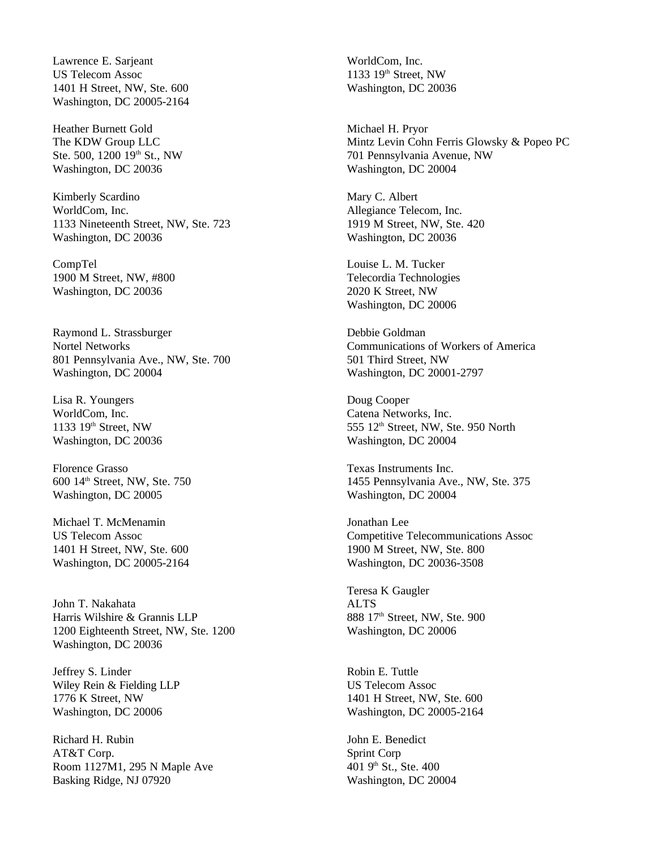Lawrence E. Sarjeant US Telecom Assoc 1401 H Street, NW, Ste. 600 Washington, DC 20005-2164

Heather Burnett Gold The KDW Group LLC Ste. 500, 1200 19th St., NW Washington, DC 20036

Kimberly Scardino WorldCom, Inc. 1133 Nineteenth Street, NW, Ste. 723 Washington, DC 20036

CompTel 1900 M Street, NW, #800 Washington, DC 20036

Raymond L. Strassburger Nortel Networks 801 Pennsylvania Ave., NW, Ste. 700 Washington, DC 20004

Lisa R. Youngers WorldCom, Inc. 1133  $19<sup>th</sup>$  Street, NW Washington, DC 20036

Florence Grasso 600 14th Street, NW, Ste. 750 Washington, DC 20005

Michael T. McMenamin US Telecom Assoc 1401 H Street, NW, Ste. 600 Washington, DC 20005-2164

John T. Nakahata Harris Wilshire & Grannis LLP 1200 Eighteenth Street, NW, Ste. 1200 Washington, DC 20036

Jeffrey S. Linder Wiley Rein & Fielding LLP 1776 K Street, NW Washington, DC 20006

Richard H. Rubin AT&T Corp. Room 1127M1, 295 N Maple Ave Basking Ridge, NJ 07920

WorldCom, Inc. 1133 19th Street, NW Washington, DC 20036

Michael H. Pryor Mintz Levin Cohn Ferris Glowsky & Popeo PC 701 Pennsylvania Avenue, NW Washington, DC 20004

Mary C. Albert Allegiance Telecom, Inc. 1919 M Street, NW, Ste. 420 Washington, DC 20036

Louise L. M. Tucker Telecordia Technologies 2020 K Street, NW Washington, DC 20006

Debbie Goldman Communications of Workers of America 501 Third Street, NW Washington, DC 20001-2797

Doug Cooper Catena Networks, Inc. 555 12<sup>th</sup> Street, NW, Ste. 950 North Washington, DC 20004

Texas Instruments Inc. 1455 Pennsylvania Ave., NW, Ste. 375 Washington, DC 20004

Jonathan Lee Competitive Telecommunications Assoc 1900 M Street, NW, Ste. 800 Washington, DC 20036-3508

Teresa K Gaugler ALTS 888 17<sup>th</sup> Street, NW, Ste. 900 Washington, DC 20006

Robin E. Tuttle US Telecom Assoc 1401 H Street, NW, Ste. 600 Washington, DC 20005-2164

John E. Benedict Sprint Corp 401 9th St., Ste. 400 Washington, DC 20004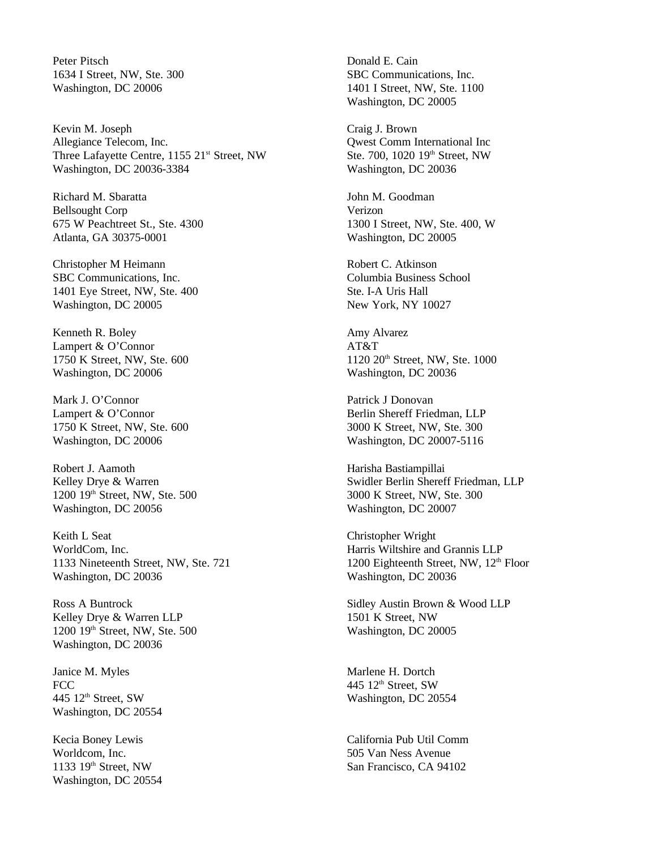Peter Pitsch 1634 I Street, NW, Ste. 300 Washington, DC 20006

Kevin M. Joseph Allegiance Telecom, Inc. Three Lafayette Centre, 1155 21<sup>st</sup> Street, NW Washington, DC 20036-3384

Richard M. Sbaratta Bellsought Corp 675 W Peachtreet St., Ste. 4300 Atlanta, GA 30375-0001

Christopher M Heimann SBC Communications, Inc. 1401 Eye Street, NW, Ste. 400 Washington, DC 20005

Kenneth R. Boley Lampert & O'Connor 1750 K Street, NW, Ste. 600 Washington, DC 20006

Mark J. O'Connor Lampert & O'Connor 1750 K Street, NW, Ste. 600 Washington, DC 20006

Robert J. Aamoth Kelley Drye & Warren 1200 19th Street, NW, Ste. 500 Washington, DC 20056

Keith L Seat WorldCom, Inc. 1133 Nineteenth Street, NW, Ste. 721 Washington, DC 20036

Ross A Buntrock Kelley Drye & Warren LLP 1200 19th Street, NW, Ste. 500 Washington, DC 20036

Janice M. Myles **FCC** 445 12<sup>th</sup> Street, SW Washington, DC 20554

Kecia Boney Lewis Worldcom, Inc. 1133  $19<sup>th</sup>$  Street, NW Washington, DC 20554 Donald E. Cain SBC Communications, Inc. 1401 I Street, NW, Ste. 1100 Washington, DC 20005

Craig J. Brown Qwest Comm International Inc Ste. 700, 1020 19<sup>th</sup> Street, NW Washington, DC 20036

John M. Goodman Verizon 1300 I Street, NW, Ste. 400, W Washington, DC 20005

Robert C. Atkinson Columbia Business School Ste. I-A Uris Hall New York, NY 10027

Amy Alvarez AT&T 1120 20th Street, NW, Ste. 1000 Washington, DC 20036

Patrick J Donovan Berlin Shereff Friedman, LLP 3000 K Street, NW, Ste. 300 Washington, DC 20007-5116

Harisha Bastiampillai Swidler Berlin Shereff Friedman, LLP 3000 K Street, NW, Ste. 300 Washington, DC 20007

Christopher Wright Harris Wiltshire and Grannis LLP 1200 Eighteenth Street, NW,  $12<sup>th</sup>$  Floor Washington, DC 20036

Sidley Austin Brown & Wood LLP 1501 K Street, NW Washington, DC 20005

Marlene H. Dortch 445  $12<sup>th</sup>$  Street, SW Washington, DC 20554

California Pub Util Comm 505 Van Ness Avenue San Francisco, CA 94102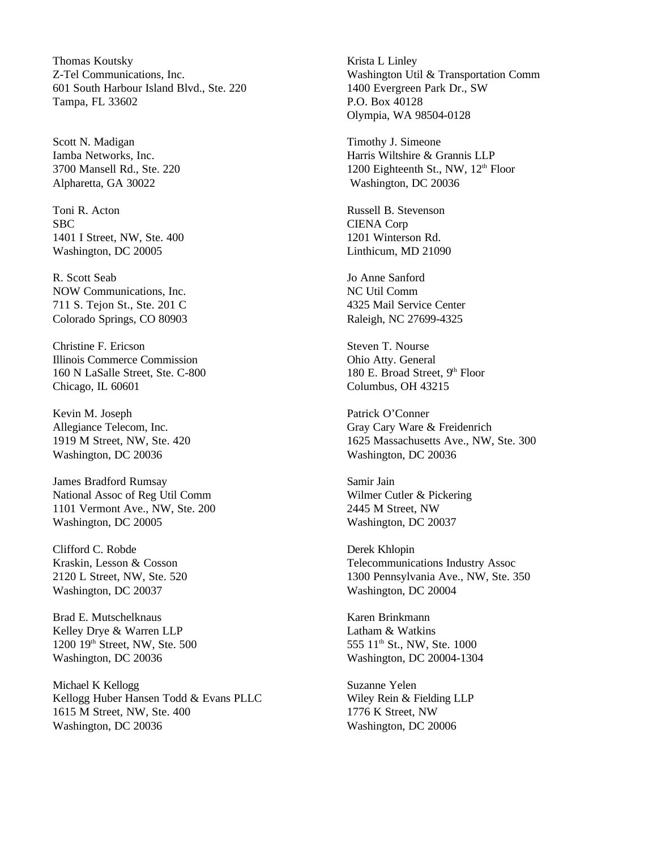Thomas Koutsky Z-Tel Communications, Inc. 601 South Harbour Island Blvd., Ste. 220 Tampa, FL 33602

Scott N. Madigan Iamba Networks, Inc. 3700 Mansell Rd., Ste. 220 Alpharetta, GA 30022

Toni R. Acton SBC 1401 I Street, NW, Ste. 400 Washington, DC 20005

R. Scott Seab NOW Communications, Inc. 711 S. Tejon St., Ste. 201 C Colorado Springs, CO 80903

Christine F. Ericson Illinois Commerce Commission 160 N LaSalle Street, Ste. C-800 Chicago, IL 60601

Kevin M. Joseph Allegiance Telecom, Inc. 1919 M Street, NW, Ste. 420 Washington, DC 20036

James Bradford Rumsay National Assoc of Reg Util Comm 1101 Vermont Ave., NW, Ste. 200 Washington, DC 20005

Clifford C. Robde Kraskin, Lesson & Cosson 2120 L Street, NW, Ste. 520 Washington, DC 20037

Brad E. Mutschelknaus Kelley Drye & Warren LLP 1200 19th Street, NW, Ste. 500 Washington, DC 20036

Michael K Kellogg Kellogg Huber Hansen Todd & Evans PLLC 1615 M Street, NW, Ste. 400 Washington, DC 20036

Krista L Linley Washington Util & Transportation Comm 1400 Evergreen Park Dr., SW P.O. Box 40128 Olympia, WA 98504-0128

Timothy J. Simeone Harris Wiltshire & Grannis LLP 1200 Eighteenth St., NW, 12<sup>th</sup> Floor Washington, DC 20036

Russell B. Stevenson CIENA Corp 1201 Winterson Rd. Linthicum, MD 21090

Jo Anne Sanford NC Util Comm 4325 Mail Service Center Raleigh, NC 27699-4325

Steven T. Nourse Ohio Atty. General 180 E. Broad Street,  $9<sup>th</sup>$  Floor Columbus, OH 43215

Patrick O'Conner Gray Cary Ware & Freidenrich 1625 Massachusetts Ave., NW, Ste. 300 Washington, DC 20036

Samir Jain Wilmer Cutler & Pickering 2445 M Street, NW Washington, DC 20037

Derek Khlopin Telecommunications Industry Assoc 1300 Pennsylvania Ave., NW, Ste. 350 Washington, DC 20004

Karen Brinkmann Latham & Watkins 555 11<sup>th</sup> St., NW, Ste. 1000 Washington, DC 20004-1304

Suzanne Yelen Wiley Rein & Fielding LLP 1776 K Street, NW Washington, DC 20006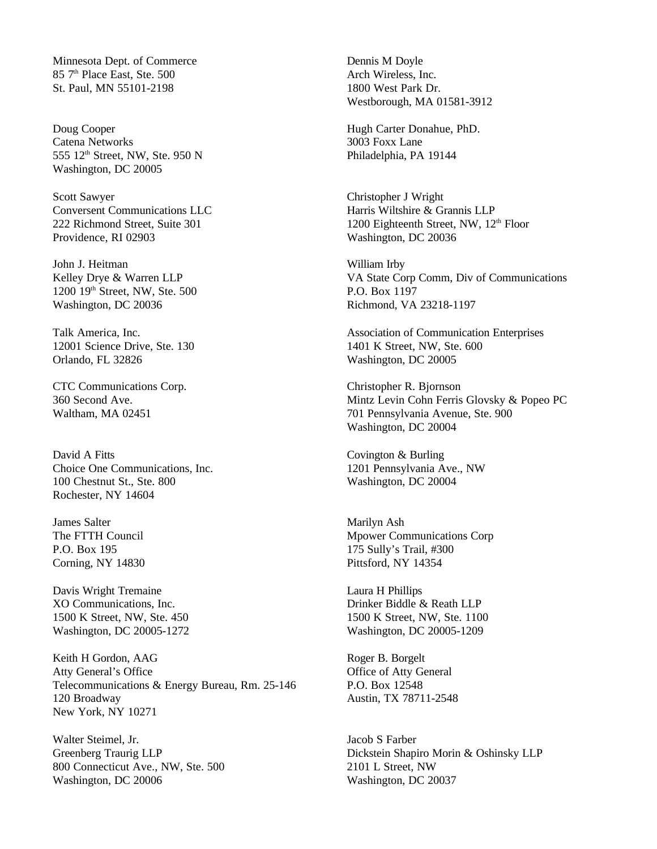Minnesota Dept. of Commerce 85 7<sup>th</sup> Place East, Ste. 500 St. Paul, MN 55101-2198

Doug Cooper Catena Networks 555 12th Street, NW, Ste. 950 N Washington, DC 20005

Scott Sawyer Conversent Communications LLC 222 Richmond Street, Suite 301 Providence, RI 02903

John J. Heitman Kelley Drye & Warren LLP 1200 19th Street, NW, Ste. 500 Washington, DC 20036

Talk America, Inc. 12001 Science Drive, Ste. 130 Orlando, FL 32826

CTC Communications Corp. 360 Second Ave. Waltham, MA 02451

David A Fitts Choice One Communications, Inc. 100 Chestnut St., Ste. 800 Rochester, NY 14604

James Salter The FTTH Council P.O. Box 195 Corning, NY 14830

Davis Wright Tremaine XO Communications, Inc. 1500 K Street, NW, Ste. 450 Washington, DC 20005-1272

Keith H Gordon, AAG Atty General's Office Telecommunications & Energy Bureau, Rm. 25-146 120 Broadway New York, NY 10271

Walter Steimel, Jr. Greenberg Traurig LLP 800 Connecticut Ave., NW, Ste. 500 Washington, DC 20006

Dennis M Doyle Arch Wireless, Inc. 1800 West Park Dr. Westborough, MA 01581-3912

Hugh Carter Donahue, PhD. 3003 Foxx Lane Philadelphia, PA 19144

Christopher J Wright Harris Wiltshire & Grannis LLP 1200 Eighteenth Street, NW,  $12<sup>th</sup>$  Floor Washington, DC 20036

William Irby VA State Corp Comm, Div of Communications P.O. Box 1197 Richmond, VA 23218-1197

Association of Communication Enterprises 1401 K Street, NW, Ste. 600 Washington, DC 20005

Christopher R. Bjornson Mintz Levin Cohn Ferris Glovsky & Popeo PC 701 Pennsylvania Avenue, Ste. 900 Washington, DC 20004

Covington & Burling 1201 Pennsylvania Ave., NW Washington, DC 20004

Marilyn Ash Mpower Communications Corp 175 Sully's Trail, #300 Pittsford, NY 14354

Laura H Phillips Drinker Biddle & Reath LLP 1500 K Street, NW, Ste. 1100 Washington, DC 20005-1209

Roger B. Borgelt Office of Atty General P.O. Box 12548 Austin, TX 78711-2548

Jacob S Farber Dickstein Shapiro Morin & Oshinsky LLP 2101 L Street, NW Washington, DC 20037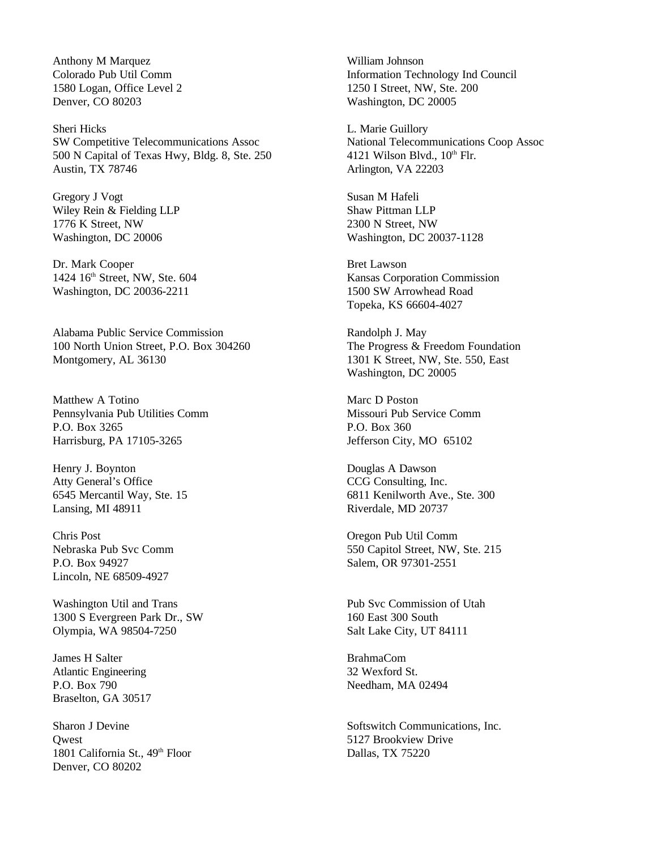Anthony M Marquez Colorado Pub Util Comm 1580 Logan, Office Level 2 Denver, CO 80203

Sheri Hicks SW Competitive Telecommunications Assoc 500 N Capital of Texas Hwy, Bldg. 8, Ste. 250 Austin, TX 78746

Gregory J Vogt Wiley Rein & Fielding LLP 1776 K Street, NW Washington, DC 20006

Dr. Mark Cooper 1424 16<sup>th</sup> Street, NW, Ste. 604 Washington, DC 20036-2211

Alabama Public Service Commission 100 North Union Street, P.O. Box 304260 Montgomery, AL 36130

Matthew A Totino Pennsylvania Pub Utilities Comm P.O. Box 3265 Harrisburg, PA 17105-3265

Henry J. Boynton Atty General's Office 6545 Mercantil Way, Ste. 15 Lansing, MI 48911

Chris Post Nebraska Pub Svc Comm P.O. Box 94927 Lincoln, NE 68509-4927

Washington Util and Trans 1300 S Evergreen Park Dr., SW Olympia, WA 98504-7250

James H Salter Atlantic Engineering P.O. Box 790 Braselton, GA 30517

Sharon J Devine **Owest** 1801 California St., 49<sup>th</sup> Floor Denver, CO 80202

William Johnson Information Technology Ind Council 1250 I Street, NW, Ste. 200 Washington, DC 20005

L. Marie Guillory National Telecommunications Coop Assoc 4121 Wilson Blvd.,  $10^{th}$  Flr. Arlington, VA 22203

Susan M Hafeli Shaw Pittman LLP 2300 N Street, NW Washington, DC 20037-1128

Bret Lawson Kansas Corporation Commission 1500 SW Arrowhead Road Topeka, KS 66604-4027

Randolph J. May The Progress & Freedom Foundation 1301 K Street, NW, Ste. 550, East Washington, DC 20005

Marc D Poston Missouri Pub Service Comm P.O. Box 360 Jefferson City, MO 65102

Douglas A Dawson CCG Consulting, Inc. 6811 Kenilworth Ave., Ste. 300 Riverdale, MD 20737

Oregon Pub Util Comm 550 Capitol Street, NW, Ste. 215 Salem, OR 97301-2551

Pub Svc Commission of Utah 160 East 300 South Salt Lake City, UT 84111

BrahmaCom 32 Wexford St. Needham, MA 02494

Softswitch Communications, Inc. 5127 Brookview Drive Dallas, TX 75220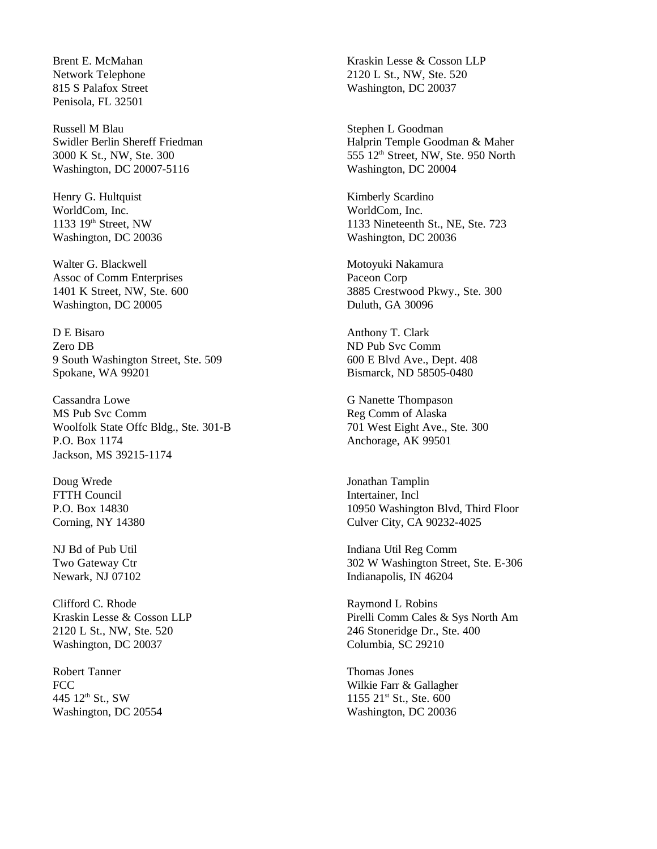Brent E. McMahan Network Telephone 815 S Palafox Street Penisola, FL 32501

Russell M Blau Swidler Berlin Shereff Friedman 3000 K St., NW, Ste. 300 Washington, DC 20007-5116

Henry G. Hultquist WorldCom, Inc. 1133 19th Street, NW Washington, DC 20036

Walter G. Blackwell Assoc of Comm Enterprises 1401 K Street, NW, Ste. 600 Washington, DC 20005

D E Bisaro Zero DB 9 South Washington Street, Ste. 509 Spokane, WA 99201

Cassandra Lowe MS Pub Svc Comm Woolfolk State Offc Bldg., Ste. 301-B P.O. Box 1174 Jackson, MS 39215-1174

Doug Wrede FTTH Council P.O. Box 14830 Corning, NY 14380

NJ Bd of Pub Util Two Gateway Ctr Newark, NJ 07102

Clifford C. Rhode Kraskin Lesse & Cosson LLP 2120 L St., NW, Ste. 520 Washington, DC 20037

Robert Tanner FCC 445 12<sup>th</sup> St., SW Washington, DC 20554 Kraskin Lesse & Cosson LLP 2120 L St., NW, Ste. 520 Washington, DC 20037

Stephen L Goodman Halprin Temple Goodman & Maher 555 12<sup>th</sup> Street, NW, Ste. 950 North Washington, DC 20004

Kimberly Scardino WorldCom, Inc. 1133 Nineteenth St., NE, Ste. 723 Washington, DC 20036

Motoyuki Nakamura Paceon Corp 3885 Crestwood Pkwy., Ste. 300 Duluth, GA 30096

Anthony T. Clark ND Pub Svc Comm 600 E Blvd Ave., Dept. 408 Bismarck, ND 58505-0480

G Nanette Thompason Reg Comm of Alaska 701 West Eight Ave., Ste. 300 Anchorage, AK 99501

Jonathan Tamplin Intertainer, Incl 10950 Washington Blvd, Third Floor Culver City, CA 90232-4025

Indiana Util Reg Comm 302 W Washington Street, Ste. E-306 Indianapolis, IN 46204

Raymond L Robins Pirelli Comm Cales & Sys North Am 246 Stoneridge Dr., Ste. 400 Columbia, SC 29210

Thomas Jones Wilkie Farr & Gallagher  $1155$   $21$ <sup>st</sup> St., Ste. 600 Washington, DC 20036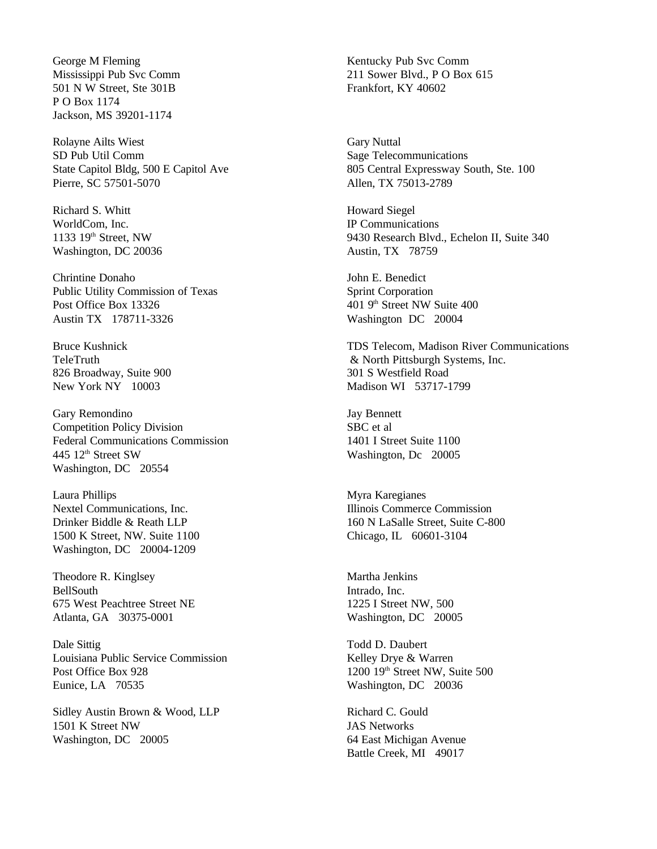George M Fleming Mississippi Pub Svc Comm 501 N W Street, Ste 301B P O Box 1174 Jackson, MS 39201-1174

Rolayne Ailts Wiest SD Pub Util Comm State Capitol Bldg, 500 E Capitol Ave Pierre, SC 57501-5070

Richard S. Whitt WorldCom, Inc. 1133  $19<sup>th</sup>$  Street, NW Washington, DC 20036

Chrintine Donaho Public Utility Commission of Texas Post Office Box 13326 Austin TX 178711-3326

Bruce Kushnick TeleTruth 826 Broadway, Suite 900 New York NY 10003

Gary Remondino Competition Policy Division Federal Communications Commission 445 12<sup>th</sup> Street SW Washington, DC 20554

Laura Phillips Nextel Communications, Inc. Drinker Biddle & Reath LLP 1500 K Street, NW. Suite 1100 Washington, DC 20004-1209

Theodore R. Kinglsey BellSouth 675 West Peachtree Street NE Atlanta, GA 30375-0001

Dale Sittig Louisiana Public Service Commission Post Office Box 928 Eunice, LA 70535

Sidley Austin Brown & Wood, LLP 1501 K Street NW Washington, DC 20005

Kentucky Pub Svc Comm 211 Sower Blvd., P O Box 615 Frankfort, KY 40602

Gary Nuttal Sage Telecommunications 805 Central Expressway South, Ste. 100 Allen, TX 75013-2789

Howard Siegel IP Communications 9430 Research Blvd., Echelon II, Suite 340 Austin, TX 78759

John E. Benedict Sprint Corporation 401 9th Street NW Suite 400 Washington DC 20004

TDS Telecom, Madison River Communications & North Pittsburgh Systems, Inc. 301 S Westfield Road Madison WI 53717-1799

Jay Bennett SBC et al 1401 I Street Suite 1100 Washington, Dc 20005

Myra Karegianes Illinois Commerce Commission 160 N LaSalle Street, Suite C-800 Chicago, IL 60601-3104

Martha Jenkins Intrado, Inc. 1225 I Street NW, 500 Washington, DC 20005

Todd D. Daubert Kelley Drye & Warren 1200 19th Street NW, Suite 500 Washington, DC 20036

Richard C. Gould JAS Networks 64 East Michigan Avenue Battle Creek, MI 49017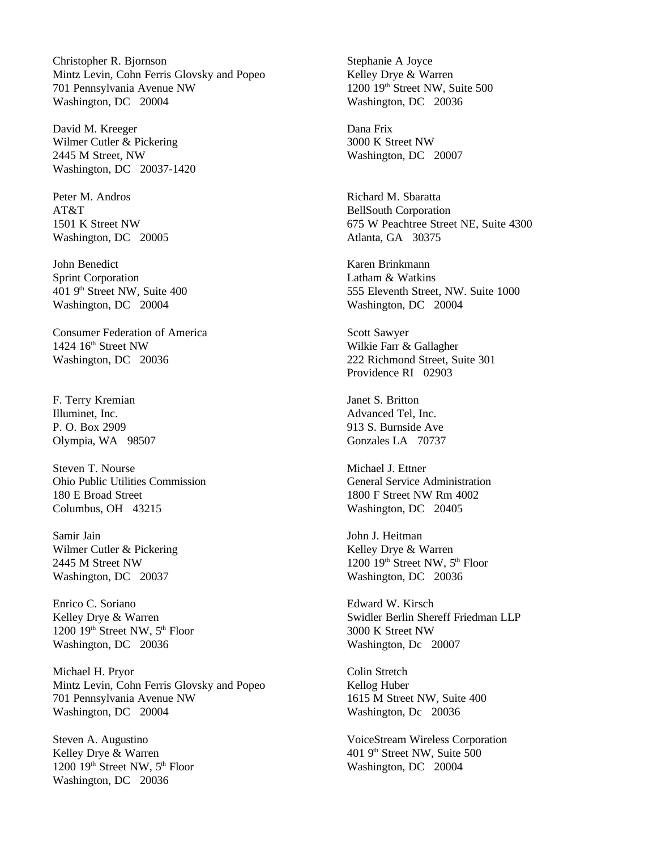Christopher R. Bjornson Mintz Levin, Cohn Ferris Glovsky and Popeo 701 Pennsylvania Avenue NW Washington, DC 20004

David M. Kreeger Wilmer Cutler & Pickering 2445 M Street, NW Washington, DC 20037-1420

Peter M. Andros AT&T 1501 K Street NW Washington, DC 20005

John Benedict Sprint Corporation 401 9th Street NW, Suite 400 Washington, DC 20004

Consumer Federation of America 1424 16<sup>th</sup> Street NW Washington, DC 20036

F. Terry Kremian Illuminet, Inc. P. O. Box 2909 Olympia, WA 98507

Steven T. Nourse Ohio Public Utilities Commission 180 E Broad Street Columbus, OH 43215

Samir Jain Wilmer Cutler & Pickering 2445 M Street NW Washington, DC 20037

Enrico C. Soriano Kelley Drye & Warren  $1200$   $19<sup>th</sup>$  Street NW,  $5<sup>th</sup>$  Floor Washington, DC 20036

Michael H. Pryor Mintz Levin, Cohn Ferris Glovsky and Popeo 701 Pennsylvania Avenue NW Washington, DC 20004

Steven A. Augustino Kelley Drye & Warren  $1200$   $19<sup>th</sup>$  Street NW,  $5<sup>th</sup>$  Floor Washington, DC 20036

Stephanie A Joyce Kelley Drye & Warren 1200 19th Street NW, Suite 500 Washington, DC 20036

Dana Frix 3000 K Street NW Washington, DC 20007

Richard M. Sbaratta BellSouth Corporation 675 W Peachtree Street NE, Suite 4300 Atlanta, GA 30375

Karen Brinkmann Latham & Watkins 555 Eleventh Street, NW. Suite 1000 Washington, DC 20004

Scott Sawyer Wilkie Farr & Gallagher 222 Richmond Street, Suite 301 Providence RI 02903

Janet S. Britton Advanced Tel, Inc. 913 S. Burnside Ave Gonzales LA 70737

Michael J. Ettner General Service Administration 1800 F Street NW Rm 4002 Washington, DC 20405

John J. Heitman Kelley Drye & Warren 1200  $19<sup>th</sup>$  Street NW,  $5<sup>th</sup>$  Floor Washington, DC 20036

Edward W. Kirsch Swidler Berlin Shereff Friedman LLP 3000 K Street NW Washington, Dc 20007

Colin Stretch Kellog Huber 1615 M Street NW, Suite 400 Washington, Dc 20036

VoiceStream Wireless Corporation 401 9th Street NW, Suite 500 Washington, DC 20004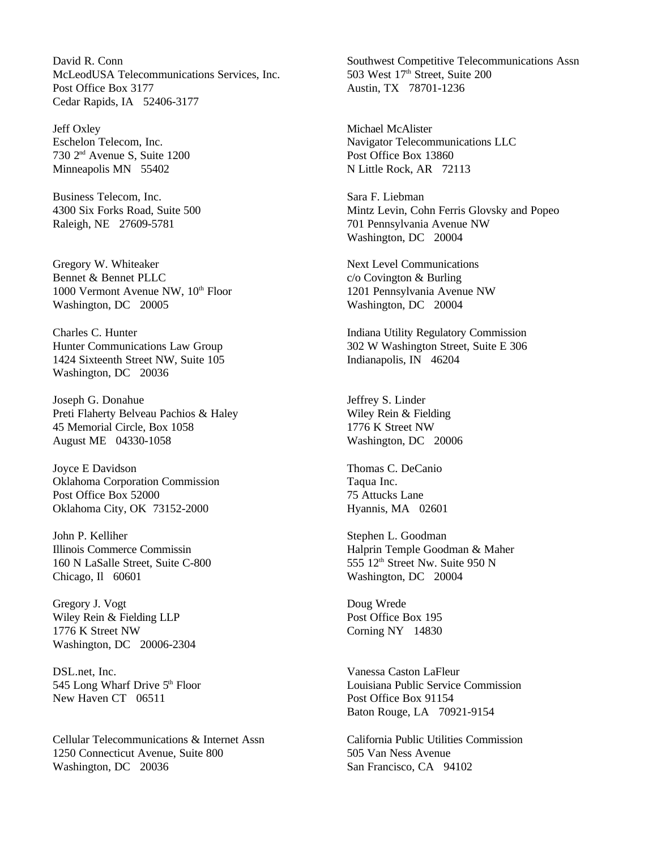David R. Conn McLeodUSA Telecommunications Services, Inc. Post Office Box 3177 Cedar Rapids, IA 52406-3177

Jeff Oxley Eschelon Telecom, Inc. 730 2nd Avenue S, Suite 1200 Minneapolis MN 55402

Business Telecom, Inc. 4300 Six Forks Road, Suite 500 Raleigh, NE 27609-5781

Gregory W. Whiteaker Bennet & Bennet PLLC 1000 Vermont Avenue NW, 10<sup>th</sup> Floor Washington, DC 20005

Charles C. Hunter Hunter Communications Law Group 1424 Sixteenth Street NW, Suite 105 Washington, DC 20036

Joseph G. Donahue Preti Flaherty Belveau Pachios & Haley 45 Memorial Circle, Box 1058 August ME 04330-1058

Joyce E Davidson Oklahoma Corporation Commission Post Office Box 52000 Oklahoma City, OK 73152-2000

John P. Kelliher Illinois Commerce Commissin 160 N LaSalle Street, Suite C-800 Chicago, Il 60601

Gregory J. Vogt Wiley Rein & Fielding LLP 1776 K Street NW Washington, DC 20006-2304

DSL.net, Inc. 545 Long Wharf Drive 5<sup>th</sup> Floor New Haven CT 06511

Cellular Telecommunications & Internet Assn 1250 Connecticut Avenue, Suite 800 Washington, DC 20036

Southwest Competitive Telecommunications Assn 503 West 17<sup>th</sup> Street, Suite 200 Austin, TX 78701-1236

Michael McAlister Navigator Telecommunications LLC Post Office Box 13860 N Little Rock, AR 72113

Sara F. Liebman Mintz Levin, Cohn Ferris Glovsky and Popeo 701 Pennsylvania Avenue NW Washington, DC 20004

Next Level Communications c/o Covington & Burling 1201 Pennsylvania Avenue NW Washington, DC 20004

Indiana Utility Regulatory Commission 302 W Washington Street, Suite E 306 Indianapolis, IN 46204

Jeffrey S. Linder Wiley Rein & Fielding 1776 K Street NW Washington, DC 20006

Thomas C. DeCanio Taqua Inc. 75 Attucks Lane Hyannis, MA 02601

Stephen L. Goodman Halprin Temple Goodman & Maher 555  $12<sup>th</sup>$  Street Nw. Suite 950 N Washington, DC 20004

Doug Wrede Post Office Box 195 Corning NY 14830

Vanessa Caston LaFleur Louisiana Public Service Commission Post Office Box 91154 Baton Rouge, LA 70921-9154

California Public Utilities Commission 505 Van Ness Avenue San Francisco, CA 94102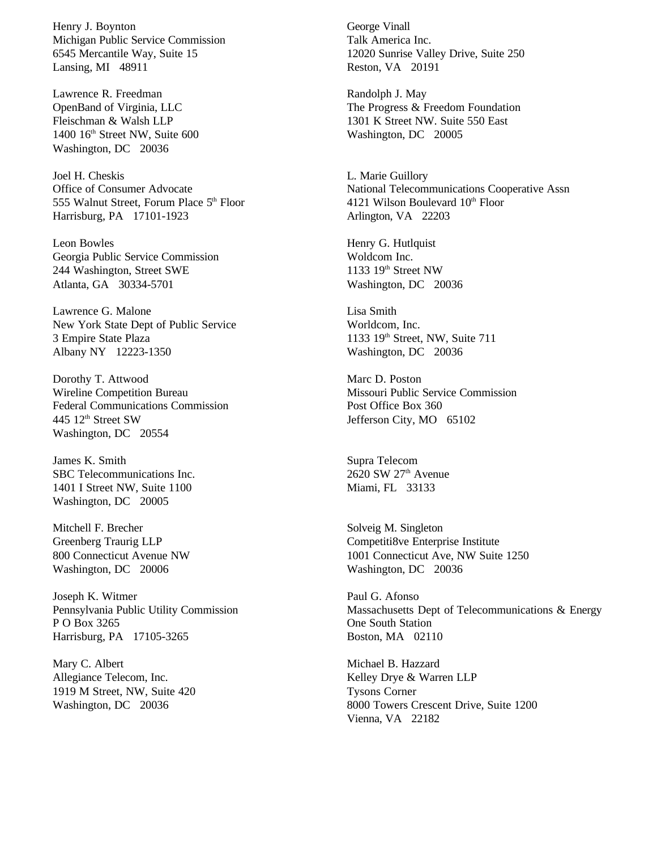Henry J. Boynton Michigan Public Service Commission 6545 Mercantile Way, Suite 15 Lansing, MI 48911

Lawrence R. Freedman OpenBand of Virginia, LLC Fleischman & Walsh LLP 1400 16<sup>th</sup> Street NW, Suite 600 Washington, DC 20036

Joel H. Cheskis Office of Consumer Advocate 555 Walnut Street, Forum Place 5<sup>th</sup> Floor Harrisburg, PA 17101-1923

Leon Bowles Georgia Public Service Commission 244 Washington, Street SWE Atlanta, GA 30334-5701

Lawrence G. Malone New York State Dept of Public Service 3 Empire State Plaza Albany NY 12223-1350

Dorothy T. Attwood Wireline Competition Bureau Federal Communications Commission 445 12<sup>th</sup> Street SW Washington, DC 20554

James K. Smith SBC Telecommunications Inc. 1401 I Street NW, Suite 1100 Washington, DC 20005

Mitchell F. Brecher Greenberg Traurig LLP 800 Connecticut Avenue NW Washington, DC 20006

Joseph K. Witmer Pennsylvania Public Utility Commission P O Box 3265 Harrisburg, PA 17105-3265

Mary C. Albert Allegiance Telecom, Inc. 1919 M Street, NW, Suite 420 Washington, DC 20036

George Vinall Talk America Inc. 12020 Sunrise Valley Drive, Suite 250 Reston, VA 20191

Randolph J. May The Progress & Freedom Foundation 1301 K Street NW. Suite 550 East Washington, DC 20005

L. Marie Guillory National Telecommunications Cooperative Assn 4121 Wilson Boulevard  $10<sup>th</sup>$  Floor Arlington, VA 22203

Henry G. Hutlquist Woldcom Inc. 1133  $19<sup>th</sup>$  Street NW Washington, DC 20036

Lisa Smith Worldcom, Inc. 1133 19th Street, NW, Suite 711 Washington, DC 20036

Marc D. Poston Missouri Public Service Commission Post Office Box 360 Jefferson City, MO 65102

Supra Telecom  $2620$  SW  $27<sup>th</sup>$  Avenue Miami, FL 33133

Solveig M. Singleton Competiti8ve Enterprise Institute 1001 Connecticut Ave, NW Suite 1250 Washington, DC 20036

Paul G. Afonso Massachusetts Dept of Telecommunications & Energy One South Station Boston, MA 02110

Michael B. Hazzard Kelley Drye & Warren LLP Tysons Corner 8000 Towers Crescent Drive, Suite 1200 Vienna, VA 22182